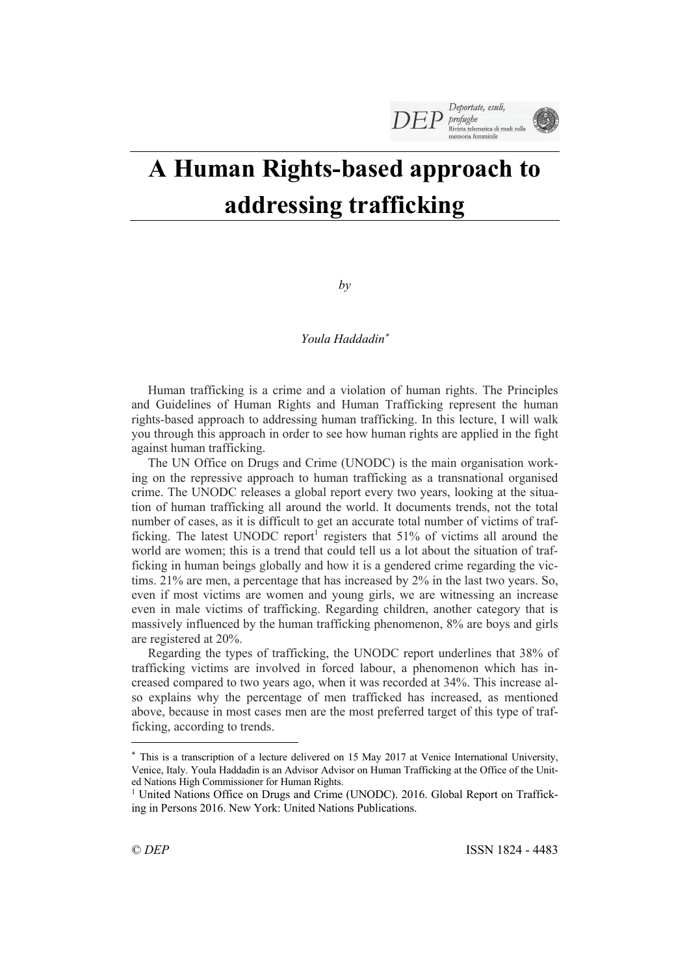

# **A Human Rights-based approach to addressing trafficking**

*by*

# *Youla Haddadin*\*

Human trafficking is a crime and a violation of human rights. The Principles and Guidelines of Human Rights and Human Trafficking represent the human rights-based approach to addressing human trafficking. In this lecture, I will walk you through this approach in order to see how human rights are applied in the fight against human trafficking.

The UN Office on Drugs and Crime (UNODC) is the main organisation working on the repressive approach to human trafficking as a transnational organised crime. The UNODC releases a global report every two years, looking at the situation of human trafficking all around the world. It documents trends, not the total number of cases, as it is difficult to get an accurate total number of victims of trafficking. The latest UNODC report<sup>1</sup> registers that  $51\%$  of victims all around the world are women; this is a trend that could tell us a lot about the situation of trafficking in human beings globally and how it is a gendered crime regarding the victims. 21% are men, a percentage that has increased by 2% in the last two years. So, even if most victims are women and young girls, we are witnessing an increase even in male victims of trafficking. Regarding children, another category that is massively influenced by the human trafficking phenomenon, 8% are boys and girls are registered at 20%.

Regarding the types of trafficking, the UNODC report underlines that 38% of trafficking victims are involved in forced labour, a phenomenon which has increased compared to two years ago, when it was recorded at 34%. This increase also explains why the percentage of men trafficked has increased, as mentioned above, because in most cases men are the most preferred target of this type of trafficking, according to trends.

<sup>\*</sup> This is a transcription of a lecture delivered on 15 May 2017 at Venice International University, Venice, Italy. Youla Haddadin is an Advisor Advisor on Human Trafficking at the Office of the United Nations High Commissioner for Human Rights.<br><sup>1</sup> United Nations Office on Drugs and Crime (UNODC). 2016. Global Report on Traffick-

ing in Persons 2016. New York: United Nations Publications.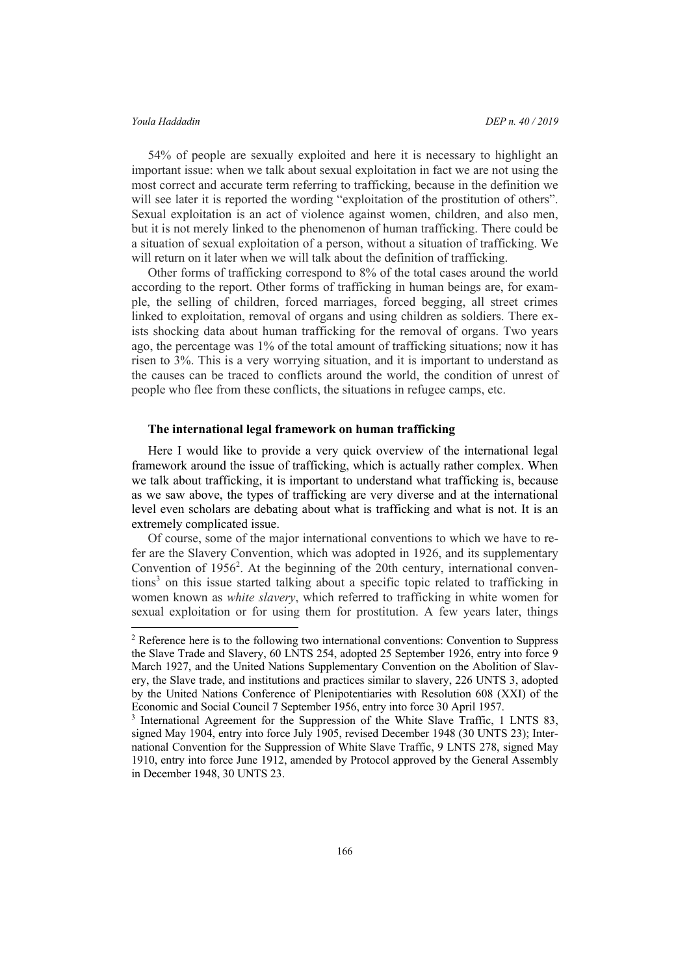54% of people are sexually exploited and here it is necessary to highlight an important issue: when we talk about sexual exploitation in fact we are not using the most correct and accurate term referring to trafficking, because in the definition we will see later it is reported the wording "exploitation of the prostitution of others". Sexual exploitation is an act of violence against women, children, and also men, but it is not merely linked to the phenomenon of human trafficking. There could be a situation of sexual exploitation of a person, without a situation of trafficking. We will return on it later when we will talk about the definition of trafficking.

Other forms of trafficking correspond to 8% of the total cases around the world according to the report. Other forms of trafficking in human beings are, for example, the selling of children, forced marriages, forced begging, all street crimes linked to exploitation, removal of organs and using children as soldiers. There exists shocking data about human trafficking for the removal of organs. Two years ago, the percentage was 1% of the total amount of trafficking situations; now it has risen to 3%. This is a very worrying situation, and it is important to understand as the causes can be traced to conflicts around the world, the condition of unrest of people who flee from these conflicts, the situations in refugee camps, etc.

# **The international legal framework on human trafficking**

Here I would like to provide a very quick overview of the international legal framework around the issue of trafficking, which is actually rather complex. When we talk about trafficking, it is important to understand what trafficking is, because as we saw above, the types of trafficking are very diverse and at the international level even scholars are debating about what is trafficking and what is not. It is an extremely complicated issue.

Of course, some of the major international conventions to which we have to refer are the Slavery Convention, which was adopted in 1926, and its supplementary Convention of 1956<sup>2</sup>. At the beginning of the 20th century, international conventions<sup>3</sup> on this issue started talking about a specific topic related to trafficking in women known as *white slavery*, which referred to trafficking in white women for sexual exploitation or for using them for prostitution. A few years later, things

<sup>&</sup>lt;sup>2</sup> Reference here is to the following two international conventions: Convention to Suppress the Slave Trade and Slavery, 60 LNTS 254, adopted 25 September 1926, entry into force 9 March 1927, and the United Nations Supplementary Convention on the Abolition of Slavery, the Slave trade, and institutions and practices similar to slavery, 226 UNTS 3, adopted by the United Nations Conference of Plenipotentiaries with Resolution 608 (XXI) of the Economic and Social Council 7 September 1956, entry into force 30 April 1957.

<sup>3</sup> International Agreement for the Suppression of the White Slave Traffic, 1 LNTS 83, signed May 1904, entry into force July 1905, revised December 1948 (30 UNTS 23); International Convention for the Suppression of White Slave Traffic, 9 LNTS 278, signed May 1910, entry into force June 1912, amended by Protocol approved by the General Assembly in December 1948, 30 UNTS 23.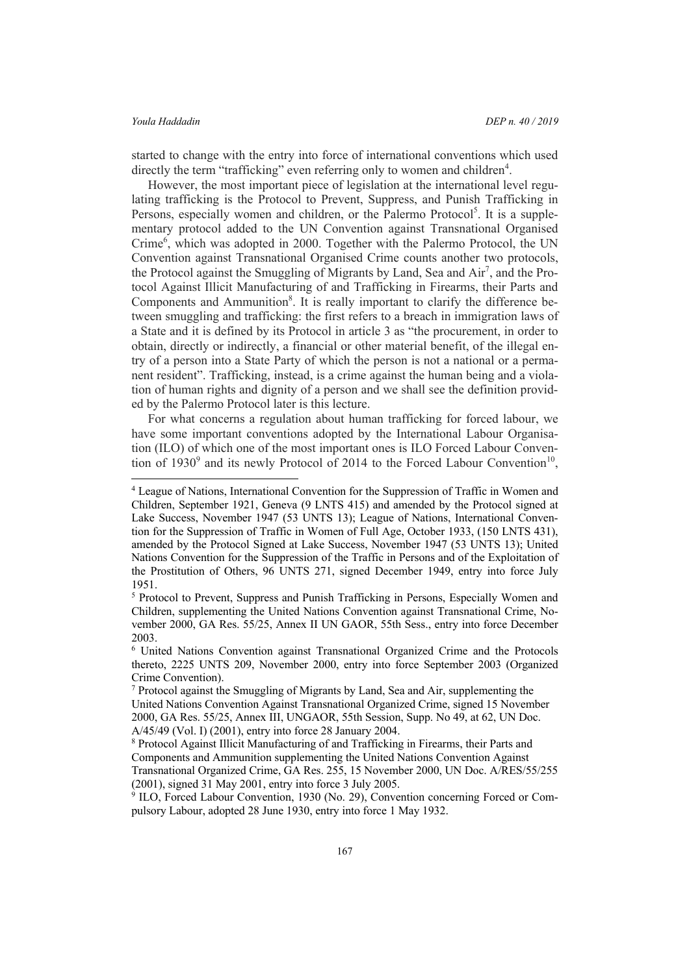started to change with the entry into force of international conventions which used directly the term "trafficking" even referring only to women and children<sup>4</sup>.

However, the most important piece of legislation at the international level regulating trafficking is the Protocol to Prevent, Suppress, and Punish Trafficking in Persons, especially women and children, or the Palermo Protocol<sup>5</sup>. It is a supplementary protocol added to the UN Convention against Transnational Organised Crime<sup>6</sup>, which was adopted in 2000. Together with the Palermo Protocol, the UN Convention against Transnational Organised Crime counts another two protocols, the Protocol against the Smuggling of Migrants by Land, Sea and Air<sup>7</sup>, and the Protocol Against Illicit Manufacturing of and Trafficking in Firearms, their Parts and Components and Ammunition<sup>8</sup>. It is really important to clarify the difference between smuggling and trafficking: the first refers to a breach in immigration laws of a State and it is defined by its Protocol in article 3 as "the procurement, in order to obtain, directly or indirectly, a financial or other material benefit, of the illegal entry of a person into a State Party of which the person is not a national or a permanent resident". Trafficking, instead, is a crime against the human being and a violation of human rights and dignity of a person and we shall see the definition provided by the Palermo Protocol later is this lecture.

For what concerns a regulation about human trafficking for forced labour, we have some important conventions adopted by the International Labour Organisation (ILO) of which one of the most important ones is ILO Forced Labour Convention of  $1930^9$  and its newly Protocol of 2014 to the Forced Labour Convention<sup>10</sup>.

 <sup>4</sup> League of Nations, International Convention for the Suppression of Traffic in Women and Children, September 1921, Geneva (9 LNTS 415) and amended by the Protocol signed at Lake Success, November 1947 (53 UNTS 13); League of Nations, International Convention for the Suppression of Traffic in Women of Full Age, October 1933, (150 LNTS 431), amended by the Protocol Signed at Lake Success, November 1947 (53 UNTS 13); United Nations Convention for the Suppression of the Traffic in Persons and of the Exploitation of the Prostitution of Others, 96 UNTS 271, signed December 1949, entry into force July 1951.<br><sup>5</sup> Protocol to Prevent, Suppress and Punish Trafficking in Persons, Especially Women and

Children, supplementing the United Nations Convention against Transnational Crime, November 2000, GA Res. 55/25, Annex II UN GAOR, 55th Sess., entry into force December 2003.

<sup>6</sup> United Nations Convention against Transnational Organized Crime and the Protocols thereto, 2225 UNTS 209, November 2000, entry into force September 2003 (Organized Crime Convention).

<sup>7</sup> Protocol against the Smuggling of Migrants by Land, Sea and Air, supplementing the United Nations Convention Against Transnational Organized Crime, signed 15 November 2000, GA Res. 55/25, Annex III, UNGAOR, 55th Session, Supp. No 49, at 62, UN Doc. A/45/49 (Vol. I) (2001), entry into force 28 January 2004.

<sup>8</sup> Protocol Against Illicit Manufacturing of and Trafficking in Firearms, their Parts and Components and Ammunition supplementing the United Nations Convention Against Transnational Organized Crime, GA Res. 255, 15 November 2000, UN Doc. A/RES/55/255 (2001), signed 31 May 2001, entry into force 3 July 2005.

ILO, Forced Labour Convention, 1930 (No. 29), Convention concerning Forced or Compulsory Labour, adopted 28 June 1930, entry into force 1 May 1932.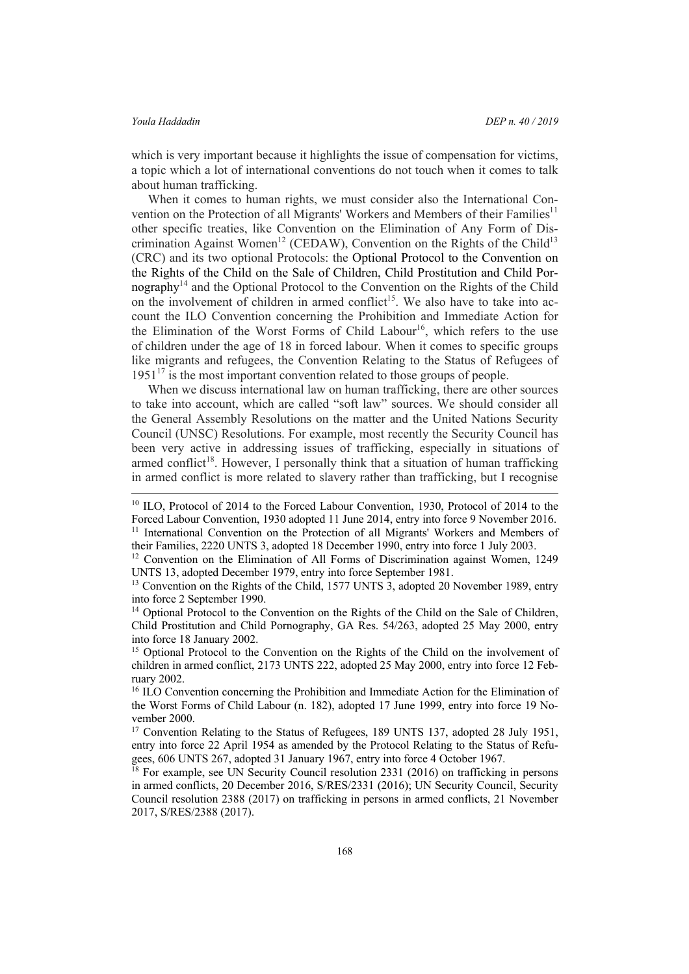which is very important because it highlights the issue of compensation for victims, a topic which a lot of international conventions do not touch when it comes to talk about human trafficking.

When it comes to human rights, we must consider also the International Convention on the Protection of all Migrants' Workers and Members of their Families<sup>11</sup> other specific treaties, like Convention on the Elimination of Any Form of Discrimination Against Women<sup>12</sup> (CEDAW), Convention on the Rights of the Child<sup>13</sup> (CRC) and its two optional Protocols: the Optional Protocol to the Convention on the Rights of the Child on the Sale of Children, Child Prostitution and Child Pornography<sup>14</sup> and the Optional Protocol to the Convention on the Rights of the Child on the involvement of children in armed conflict<sup>15</sup>. We also have to take into account the ILO Convention concerning the Prohibition and Immediate Action for the Elimination of the Worst Forms of Child Labour<sup>16</sup>, which refers to the use of children under the age of 18 in forced labour. When it comes to specific groups like migrants and refugees, the Convention Relating to the Status of Refugees of  $1951<sup>17</sup>$  is the most important convention related to those groups of people.

When we discuss international law on human trafficking, there are other sources to take into account, which are called "soft law" sources. We should consider all the General Assembly Resolutions on the matter and the United Nations Security Council (UNSC) Resolutions. For example, most recently the Security Council has been very active in addressing issues of trafficking, especially in situations of armed conflict<sup>18</sup>. However, I personally think that a situation of human trafficking in armed conflict is more related to slavery rather than trafficking, but I recognise

<sup>&</sup>lt;sup>10</sup> ILO, Protocol of 2014 to the Forced Labour Convention, 1930, Protocol of 2014 to the Forced Labour Convention, 1930 adopted 11 June 2014, entry into force 9 November 2016. <sup>11</sup> International Convention on the Protection of all Migrants' Workers and Members of their Families, 2220 UNTS 3, adopted 18 December 1990, entry into force 1 July 2003.

<sup>12</sup> Convention on the Elimination of All Forms of Discrimination against Women, 1249 UNTS 13, adopted December 1979, entry into force September 1981.

<sup>&</sup>lt;sup>13</sup> Convention on the Rights of the Child, 1577 UNTS 3, adopted 20 November 1989, entry into force 2 September 1990.

<sup>&</sup>lt;sup>14</sup> Optional Protocol to the Convention on the Rights of the Child on the Sale of Children, Child Prostitution and Child Pornography, GA Res. 54/263, adopted 25 May 2000, entry into force 18 January 2002.

<sup>&</sup>lt;sup>15</sup> Optional Protocol to the Convention on the Rights of the Child on the involvement of children in armed conflict, 2173 UNTS 222, adopted 25 May 2000, entry into force 12 February 2002.

<sup>&</sup>lt;sup>16</sup> ILO Convention concerning the Prohibition and Immediate Action for the Elimination of the Worst Forms of Child Labour (n. 182), adopted 17 June 1999, entry into force 19 November 2000.

<sup>&</sup>lt;sup>17</sup> Convention Relating to the Status of Refugees, 189 UNTS 137, adopted 28 July 1951, entry into force 22 April 1954 as amended by the Protocol Relating to the Status of Refugees, 606 UNTS 267, adopted 31 January 1967, entry into force 4 October 1967.

<sup>&</sup>lt;sup>18</sup> For example, see UN Security Council resolution 2331 (2016) on trafficking in persons in armed conflicts, 20 December 2016, S/RES/2331 (2016); UN Security Council, Security Council resolution 2388 (2017) on trafficking in persons in armed conflicts, 21 November 2017, S/RES/2388 (2017).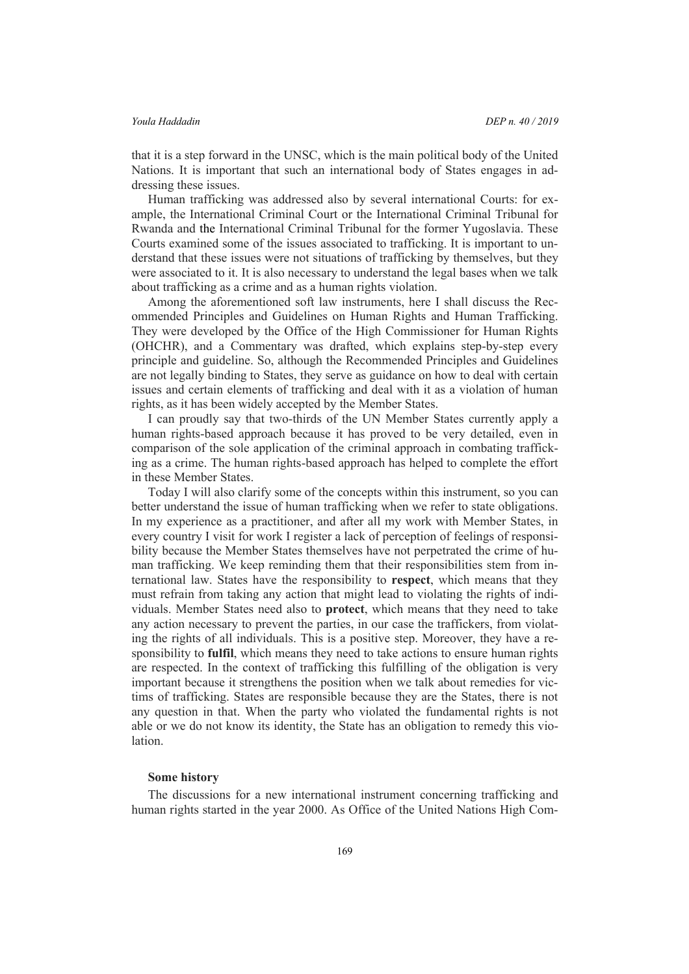that it is a step forward in the UNSC, which is the main political body of the United Nations. It is important that such an international body of States engages in addressing these issues.

Human trafficking was addressed also by several international Courts: for example, the International Criminal Court or the International Criminal Tribunal for Rwanda and the International Criminal Tribunal for the former Yugoslavia. These Courts examined some of the issues associated to trafficking. It is important to understand that these issues were not situations of trafficking by themselves, but they were associated to it. It is also necessary to understand the legal bases when we talk about trafficking as a crime and as a human rights violation.

Among the aforementioned soft law instruments, here I shall discuss the Recommended Principles and Guidelines on Human Rights and Human Trafficking. They were developed by the Office of the High Commissioner for Human Rights (OHCHR), and a Commentary was drafted, which explains step-by-step every principle and guideline. So, although the Recommended Principles and Guidelines are not legally binding to States, they serve as guidance on how to deal with certain issues and certain elements of trafficking and deal with it as a violation of human rights, as it has been widely accepted by the Member States.

I can proudly say that two-thirds of the UN Member States currently apply a human rights-based approach because it has proved to be very detailed, even in comparison of the sole application of the criminal approach in combating trafficking as a crime. The human rights-based approach has helped to complete the effort in these Member States.

Today I will also clarify some of the concepts within this instrument, so you can better understand the issue of human trafficking when we refer to state obligations. In my experience as a practitioner, and after all my work with Member States, in every country I visit for work I register a lack of perception of feelings of responsibility because the Member States themselves have not perpetrated the crime of human trafficking. We keep reminding them that their responsibilities stem from international law. States have the responsibility to **respect**, which means that they must refrain from taking any action that might lead to violating the rights of individuals. Member States need also to **protect**, which means that they need to take any action necessary to prevent the parties, in our case the traffickers, from violating the rights of all individuals. This is a positive step. Moreover, they have a responsibility to **fulfil**, which means they need to take actions to ensure human rights are respected. In the context of trafficking this fulfilling of the obligation is very important because it strengthens the position when we talk about remedies for victims of trafficking. States are responsible because they are the States, there is not any question in that. When the party who violated the fundamental rights is not able or we do not know its identity, the State has an obligation to remedy this violation.

### **Some history**

The discussions for a new international instrument concerning trafficking and human rights started in the year 2000. As Office of the United Nations High Com-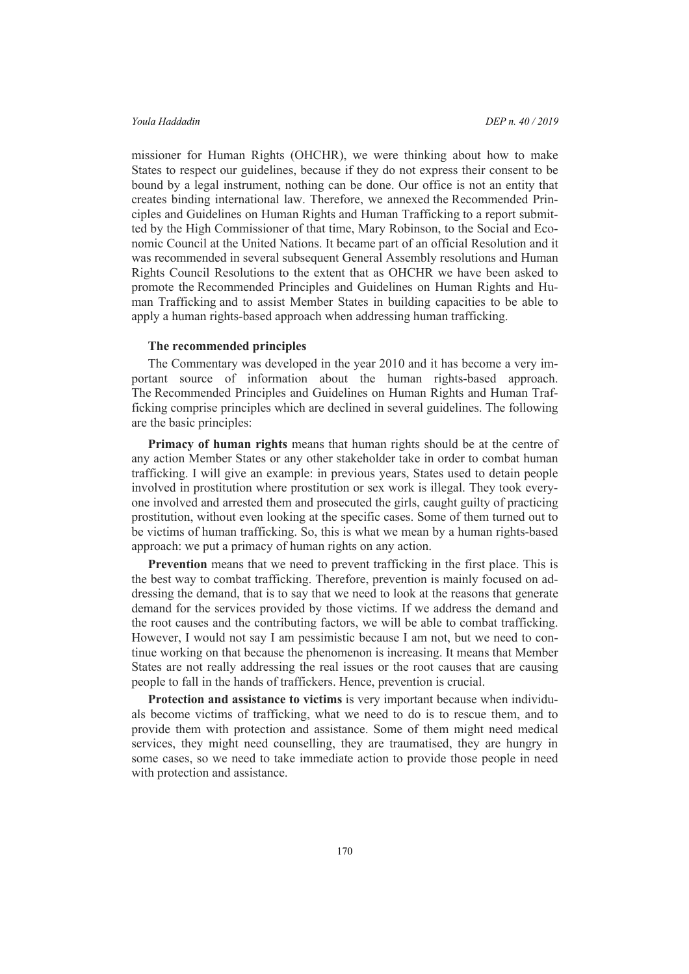missioner for Human Rights (OHCHR), we were thinking about how to make States to respect our guidelines, because if they do not express their consent to be bound by a legal instrument, nothing can be done. Our office is not an entity that creates binding international law. Therefore, we annexed the Recommended Principles and Guidelines on Human Rights and Human Trafficking to a report submitted by the High Commissioner of that time, Mary Robinson, to the Social and Economic Council at the United Nations. It became part of an official Resolution and it was recommended in several subsequent General Assembly resolutions and Human Rights Council Resolutions to the extent that as OHCHR we have been asked to promote the Recommended Principles and Guidelines on Human Rights and Human Trafficking and to assist Member States in building capacities to be able to apply a human rights-based approach when addressing human trafficking.

# **The recommended principles**

The Commentary was developed in the year 2010 and it has become a very important source of information about the human rights-based approach. The Recommended Principles and Guidelines on Human Rights and Human Trafficking comprise principles which are declined in several guidelines. The following are the basic principles:

**Primacy of human rights** means that human rights should be at the centre of any action Member States or any other stakeholder take in order to combat human trafficking. I will give an example: in previous years, States used to detain people involved in prostitution where prostitution or sex work is illegal. They took everyone involved and arrested them and prosecuted the girls, caught guilty of practicing prostitution, without even looking at the specific cases. Some of them turned out to be victims of human trafficking. So, this is what we mean by a human rights-based approach: we put a primacy of human rights on any action.

**Prevention** means that we need to prevent trafficking in the first place. This is the best way to combat trafficking. Therefore, prevention is mainly focused on addressing the demand, that is to say that we need to look at the reasons that generate demand for the services provided by those victims. If we address the demand and the root causes and the contributing factors, we will be able to combat trafficking. However, I would not say I am pessimistic because I am not, but we need to continue working on that because the phenomenon is increasing. It means that Member States are not really addressing the real issues or the root causes that are causing people to fall in the hands of traffickers. Hence, prevention is crucial.

**Protection and assistance to victims** is very important because when individuals become victims of trafficking, what we need to do is to rescue them, and to provide them with protection and assistance. Some of them might need medical services, they might need counselling, they are traumatised, they are hungry in some cases, so we need to take immediate action to provide those people in need with protection and assistance.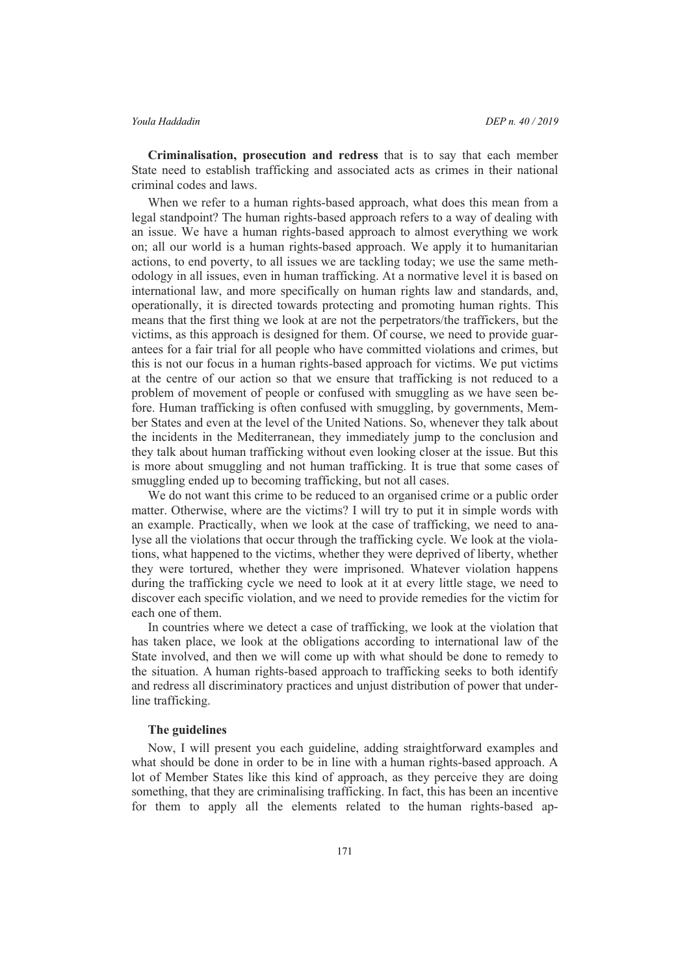**Criminalisation, prosecution and redress** that is to say that each member State need to establish trafficking and associated acts as crimes in their national criminal codes and laws.

When we refer to a human rights-based approach, what does this mean from a legal standpoint? The human rights-based approach refers to a way of dealing with an issue. We have a human rights-based approach to almost everything we work on; all our world is a human rights-based approach. We apply it to humanitarian actions, to end poverty, to all issues we are tackling today; we use the same methodology in all issues, even in human trafficking. At a normative level it is based on international law, and more specifically on human rights law and standards, and, operationally, it is directed towards protecting and promoting human rights. This means that the first thing we look at are not the perpetrators/the traffickers, but the victims, as this approach is designed for them. Of course, we need to provide guarantees for a fair trial for all people who have committed violations and crimes, but this is not our focus in a human rights-based approach for victims. We put victims at the centre of our action so that we ensure that trafficking is not reduced to a problem of movement of people or confused with smuggling as we have seen before. Human trafficking is often confused with smuggling, by governments, Member States and even at the level of the United Nations. So, whenever they talk about the incidents in the Mediterranean, they immediately jump to the conclusion and they talk about human trafficking without even looking closer at the issue. But this is more about smuggling and not human trafficking. It is true that some cases of smuggling ended up to becoming trafficking, but not all cases.

We do not want this crime to be reduced to an organised crime or a public order matter. Otherwise, where are the victims? I will try to put it in simple words with an example. Practically, when we look at the case of trafficking, we need to analyse all the violations that occur through the trafficking cycle. We look at the violations, what happened to the victims, whether they were deprived of liberty, whether they were tortured, whether they were imprisoned. Whatever violation happens during the trafficking cycle we need to look at it at every little stage, we need to discover each specific violation, and we need to provide remedies for the victim for each one of them.

In countries where we detect a case of trafficking, we look at the violation that has taken place, we look at the obligations according to international law of the State involved, and then we will come up with what should be done to remedy to the situation. A human rights-based approach to trafficking seeks to both identify and redress all discriminatory practices and unjust distribution of power that underline trafficking.

### **The guidelines**

Now, I will present you each guideline, adding straightforward examples and what should be done in order to be in line with a human rights-based approach. A lot of Member States like this kind of approach, as they perceive they are doing something, that they are criminalising trafficking. In fact, this has been an incentive for them to apply all the elements related to the human rights-based ap-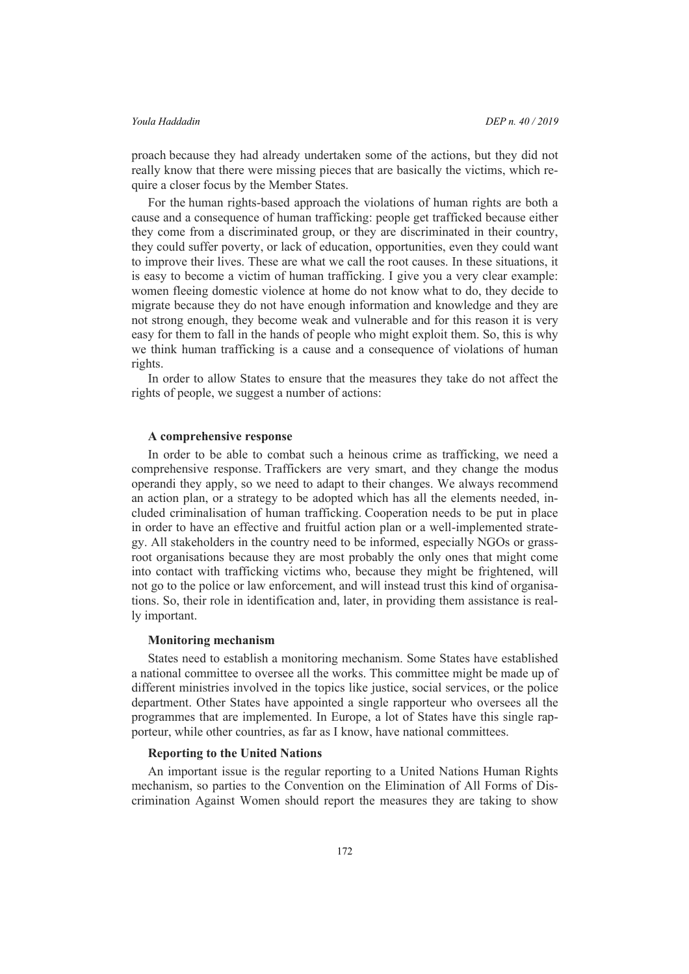proach because they had already undertaken some of the actions, but they did not really know that there were missing pieces that are basically the victims, which require a closer focus by the Member States.

For the human rights-based approach the violations of human rights are both a cause and a consequence of human trafficking: people get trafficked because either they come from a discriminated group, or they are discriminated in their country, they could suffer poverty, or lack of education, opportunities, even they could want to improve their lives. These are what we call the root causes. In these situations, it is easy to become a victim of human trafficking. I give you a very clear example: women fleeing domestic violence at home do not know what to do, they decide to migrate because they do not have enough information and knowledge and they are not strong enough, they become weak and vulnerable and for this reason it is very easy for them to fall in the hands of people who might exploit them. So, this is why we think human trafficking is a cause and a consequence of violations of human rights.

In order to allow States to ensure that the measures they take do not affect the rights of people, we suggest a number of actions:

## **A comprehensive response**

In order to be able to combat such a heinous crime as trafficking, we need a comprehensive response. Traffickers are very smart, and they change the modus operandi they apply, so we need to adapt to their changes. We always recommend an action plan, or a strategy to be adopted which has all the elements needed, included criminalisation of human trafficking. Cooperation needs to be put in place in order to have an effective and fruitful action plan or a well-implemented strategy. All stakeholders in the country need to be informed, especially NGOs or grassroot organisations because they are most probably the only ones that might come into contact with trafficking victims who, because they might be frightened, will not go to the police or law enforcement, and will instead trust this kind of organisations. So, their role in identification and, later, in providing them assistance is really important.

# **Monitoring mechanism**

States need to establish a monitoring mechanism. Some States have established a national committee to oversee all the works. This committee might be made up of different ministries involved in the topics like justice, social services, or the police department. Other States have appointed a single rapporteur who oversees all the programmes that are implemented. In Europe, a lot of States have this single rapporteur, while other countries, as far as I know, have national committees.

# **Reporting to the United Nations**

An important issue is the regular reporting to a United Nations Human Rights mechanism, so parties to the Convention on the Elimination of All Forms of Discrimination Against Women should report the measures they are taking to show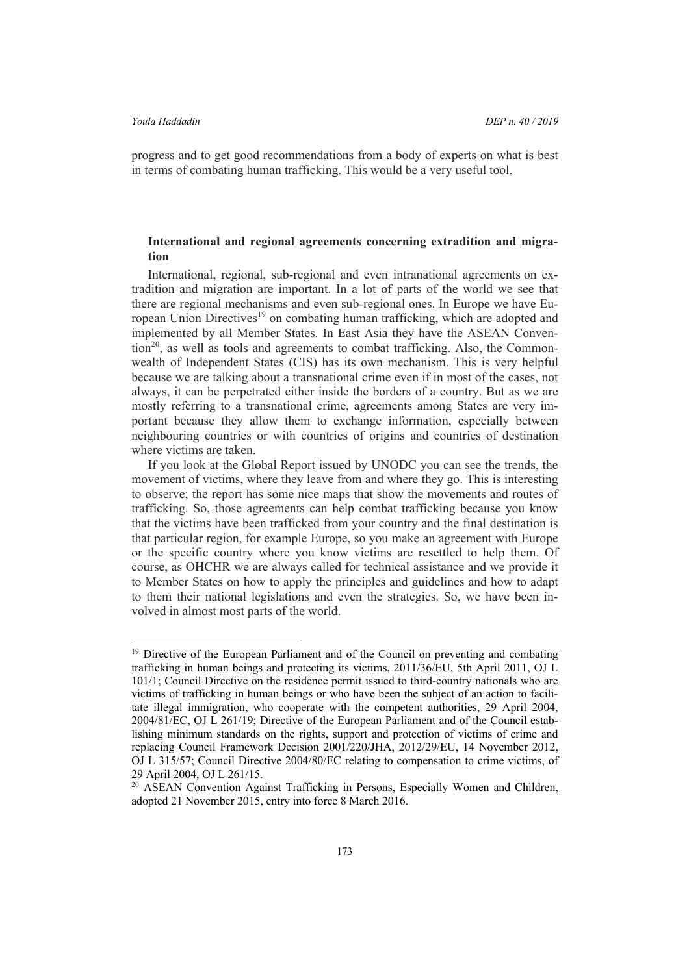progress and to get good recommendations from a body of experts on what is best in terms of combating human trafficking. This would be a very useful tool.

# **International and regional agreements concerning extradition and migration**

International, regional, sub-regional and even intranational agreements on extradition and migration are important. In a lot of parts of the world we see that there are regional mechanisms and even sub-regional ones. In Europe we have European Union Directives<sup>19</sup> on combating human trafficking, which are adopted and implemented by all Member States. In East Asia they have the ASEAN Conven $tion<sup>20</sup>$ , as well as tools and agreements to combat trafficking. Also, the Commonwealth of Independent States (CIS) has its own mechanism. This is very helpful because we are talking about a transnational crime even if in most of the cases, not always, it can be perpetrated either inside the borders of a country. But as we are mostly referring to a transnational crime, agreements among States are very important because they allow them to exchange information, especially between neighbouring countries or with countries of origins and countries of destination where victims are taken.

If you look at the Global Report issued by UNODC you can see the trends, the movement of victims, where they leave from and where they go. This is interesting to observe; the report has some nice maps that show the movements and routes of trafficking. So, those agreements can help combat trafficking because you know that the victims have been trafficked from your country and the final destination is that particular region, for example Europe, so you make an agreement with Europe or the specific country where you know victims are resettled to help them. Of course, as OHCHR we are always called for technical assistance and we provide it to Member States on how to apply the principles and guidelines and how to adapt to them their national legislations and even the strategies. So, we have been involved in almost most parts of the world.

<sup>&</sup>lt;sup>19</sup> Directive of the European Parliament and of the Council on preventing and combating trafficking in human beings and protecting its victims, 2011/36/EU, 5th April 2011, OJ L 101/1; Council Directive on the residence permit issued to third-country nationals who are victims of trafficking in human beings or who have been the subject of an action to facilitate illegal immigration, who cooperate with the competent authorities, 29 April 2004, 2004/81/EC, OJ L 261/19; Directive of the European Parliament and of the Council establishing minimum standards on the rights, support and protection of victims of crime and replacing Council Framework Decision 2001/220/JHA, 2012/29/EU, 14 November 2012, OJ L 315/57; Council Directive 2004/80/EC relating to compensation to crime victims, of 29 April 2004, OJ L 261/15.

<sup>&</sup>lt;sup>20</sup> ASEAN Convention Against Trafficking in Persons, Especially Women and Children, adopted 21 November 2015, entry into force 8 March 2016.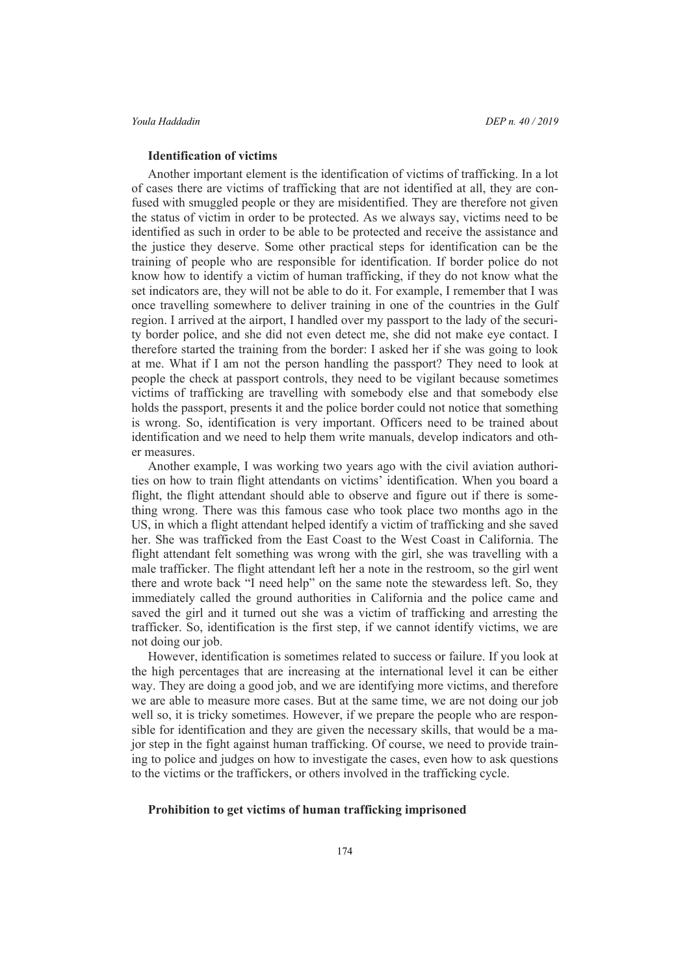### **Identification of victims**

Another important element is the identification of victims of trafficking. In a lot of cases there are victims of trafficking that are not identified at all, they are confused with smuggled people or they are misidentified. They are therefore not given the status of victim in order to be protected. As we always say, victims need to be identified as such in order to be able to be protected and receive the assistance and the justice they deserve. Some other practical steps for identification can be the training of people who are responsible for identification. If border police do not know how to identify a victim of human trafficking, if they do not know what the set indicators are, they will not be able to do it. For example, I remember that I was once travelling somewhere to deliver training in one of the countries in the Gulf region. I arrived at the airport, I handled over my passport to the lady of the security border police, and she did not even detect me, she did not make eye contact. I therefore started the training from the border: I asked her if she was going to look at me. What if I am not the person handling the passport? They need to look at people the check at passport controls, they need to be vigilant because sometimes victims of trafficking are travelling with somebody else and that somebody else holds the passport, presents it and the police border could not notice that something is wrong. So, identification is very important. Officers need to be trained about identification and we need to help them write manuals, develop indicators and other measures.

Another example, I was working two years ago with the civil aviation authorities on how to train flight attendants on victims' identification. When you board a flight, the flight attendant should able to observe and figure out if there is something wrong. There was this famous case who took place two months ago in the US, in which a flight attendant helped identify a victim of trafficking and she saved her. She was trafficked from the East Coast to the West Coast in California. The flight attendant felt something was wrong with the girl, she was travelling with a male trafficker. The flight attendant left her a note in the restroom, so the girl went there and wrote back "I need help" on the same note the stewardess left. So, they immediately called the ground authorities in California and the police came and saved the girl and it turned out she was a victim of trafficking and arresting the trafficker. So, identification is the first step, if we cannot identify victims, we are not doing our job.

However, identification is sometimes related to success or failure. If you look at the high percentages that are increasing at the international level it can be either way. They are doing a good job, and we are identifying more victims, and therefore we are able to measure more cases. But at the same time, we are not doing our job well so, it is tricky sometimes. However, if we prepare the people who are responsible for identification and they are given the necessary skills, that would be a major step in the fight against human trafficking. Of course, we need to provide training to police and judges on how to investigate the cases, even how to ask questions to the victims or the traffickers, or others involved in the trafficking cycle.

### **Prohibition to get victims of human trafficking imprisoned**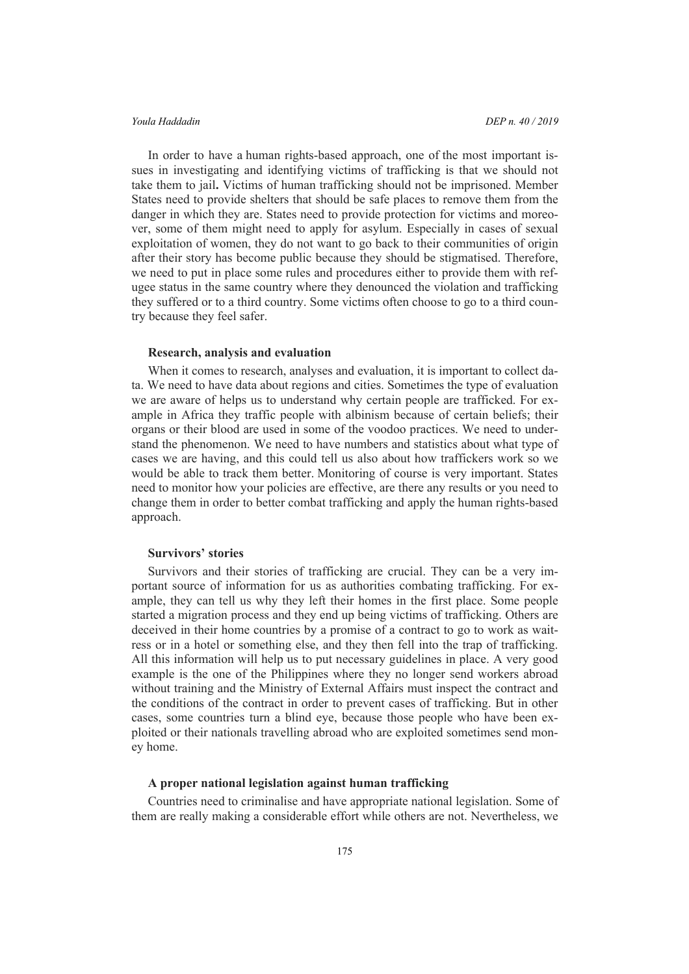In order to have a human rights-based approach, one of the most important issues in investigating and identifying victims of trafficking is that we should not take them to jail**.** Victims of human trafficking should not be imprisoned. Member States need to provide shelters that should be safe places to remove them from the danger in which they are. States need to provide protection for victims and moreover, some of them might need to apply for asylum. Especially in cases of sexual exploitation of women, they do not want to go back to their communities of origin after their story has become public because they should be stigmatised. Therefore, we need to put in place some rules and procedures either to provide them with refugee status in the same country where they denounced the violation and trafficking they suffered or to a third country. Some victims often choose to go to a third country because they feel safer.

### **Research, analysis and evaluation**

When it comes to research, analyses and evaluation, it is important to collect data. We need to have data about regions and cities. Sometimes the type of evaluation we are aware of helps us to understand why certain people are trafficked. For example in Africa they traffic people with albinism because of certain beliefs; their organs or their blood are used in some of the voodoo practices. We need to understand the phenomenon. We need to have numbers and statistics about what type of cases we are having, and this could tell us also about how traffickers work so we would be able to track them better. Monitoring of course is very important. States need to monitor how your policies are effective, are there any results or you need to change them in order to better combat trafficking and apply the human rights-based approach.

# **Survivors' stories**

Survivors and their stories of trafficking are crucial. They can be a very important source of information for us as authorities combating trafficking. For example, they can tell us why they left their homes in the first place. Some people started a migration process and they end up being victims of trafficking. Others are deceived in their home countries by a promise of a contract to go to work as waitress or in a hotel or something else, and they then fell into the trap of trafficking. All this information will help us to put necessary guidelines in place. A very good example is the one of the Philippines where they no longer send workers abroad without training and the Ministry of External Affairs must inspect the contract and the conditions of the contract in order to prevent cases of trafficking. But in other cases, some countries turn a blind eye, because those people who have been exploited or their nationals travelling abroad who are exploited sometimes send money home.

# **A proper national legislation against human trafficking**

Countries need to criminalise and have appropriate national legislation. Some of them are really making a considerable effort while others are not. Nevertheless, we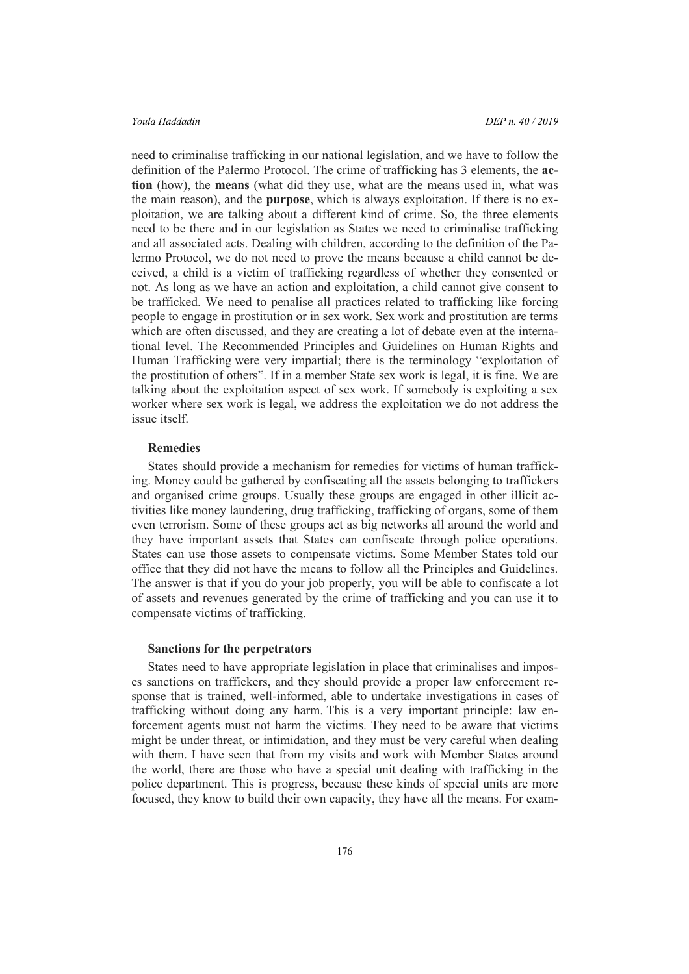need to criminalise trafficking in our national legislation, and we have to follow the definition of the Palermo Protocol. The crime of trafficking has 3 elements, the **action** (how), the **means** (what did they use, what are the means used in, what was the main reason), and the **purpose**, which is always exploitation. If there is no exploitation, we are talking about a different kind of crime. So, the three elements need to be there and in our legislation as States we need to criminalise trafficking and all associated acts. Dealing with children, according to the definition of the Palermo Protocol, we do not need to prove the means because a child cannot be deceived, a child is a victim of trafficking regardless of whether they consented or not. As long as we have an action and exploitation, a child cannot give consent to be trafficked. We need to penalise all practices related to trafficking like forcing people to engage in prostitution or in sex work. Sex work and prostitution are terms which are often discussed, and they are creating a lot of debate even at the international level. The Recommended Principles and Guidelines on Human Rights and Human Trafficking were very impartial; there is the terminology "exploitation of the prostitution of others". If in a member State sex work is legal, it is fine. We are talking about the exploitation aspect of sex work. If somebody is exploiting a sex worker where sex work is legal, we address the exploitation we do not address the issue itself.

# **Remedies**

States should provide a mechanism for remedies for victims of human trafficking. Money could be gathered by confiscating all the assets belonging to traffickers and organised crime groups. Usually these groups are engaged in other illicit activities like money laundering, drug trafficking, trafficking of organs, some of them even terrorism. Some of these groups act as big networks all around the world and they have important assets that States can confiscate through police operations. States can use those assets to compensate victims. Some Member States told our office that they did not have the means to follow all the Principles and Guidelines. The answer is that if you do your job properly, you will be able to confiscate a lot of assets and revenues generated by the crime of trafficking and you can use it to compensate victims of trafficking.

### **Sanctions for the perpetrators**

States need to have appropriate legislation in place that criminalises and imposes sanctions on traffickers, and they should provide a proper law enforcement response that is trained, well-informed, able to undertake investigations in cases of trafficking without doing any harm. This is a very important principle: law enforcement agents must not harm the victims. They need to be aware that victims might be under threat, or intimidation, and they must be very careful when dealing with them. I have seen that from my visits and work with Member States around the world, there are those who have a special unit dealing with trafficking in the police department. This is progress, because these kinds of special units are more focused, they know to build their own capacity, they have all the means. For exam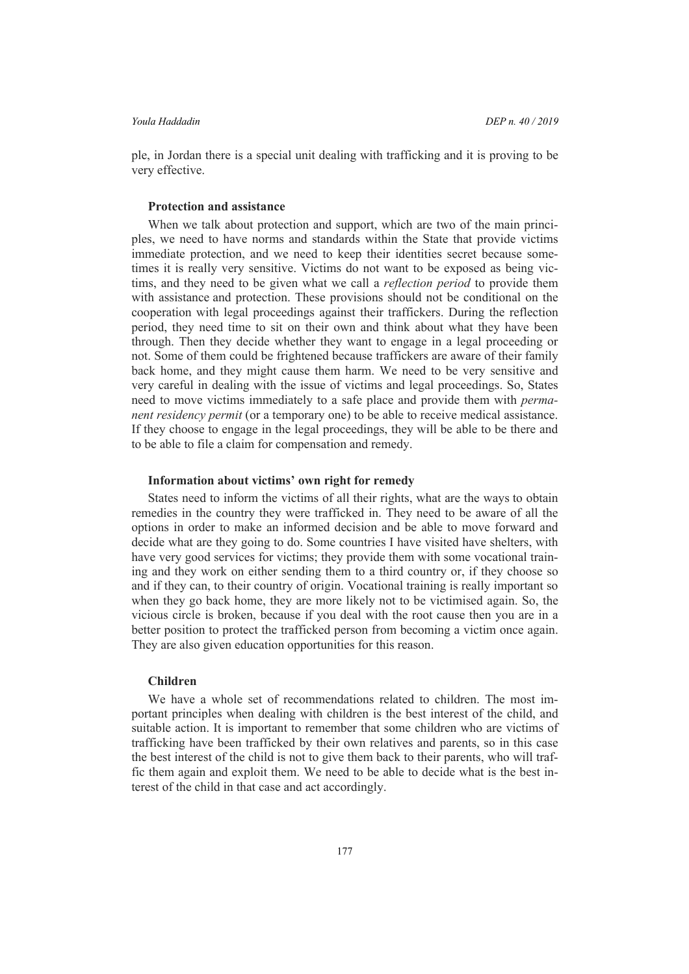ple, in Jordan there is a special unit dealing with trafficking and it is proving to be very effective.

### **Protection and assistance**

When we talk about protection and support, which are two of the main principles, we need to have norms and standards within the State that provide victims immediate protection, and we need to keep their identities secret because sometimes it is really very sensitive. Victims do not want to be exposed as being victims, and they need to be given what we call a *reflection period* to provide them with assistance and protection. These provisions should not be conditional on the cooperation with legal proceedings against their traffickers. During the reflection period, they need time to sit on their own and think about what they have been through. Then they decide whether they want to engage in a legal proceeding or not. Some of them could be frightened because traffickers are aware of their family back home, and they might cause them harm. We need to be very sensitive and very careful in dealing with the issue of victims and legal proceedings. So, States need to move victims immediately to a safe place and provide them with *permanent residency permit* (or a temporary one) to be able to receive medical assistance. If they choose to engage in the legal proceedings, they will be able to be there and to be able to file a claim for compensation and remedy.

# **Information about victims' own right for remedy**

States need to inform the victims of all their rights, what are the ways to obtain remedies in the country they were trafficked in. They need to be aware of all the options in order to make an informed decision and be able to move forward and decide what are they going to do. Some countries I have visited have shelters, with have very good services for victims; they provide them with some vocational training and they work on either sending them to a third country or, if they choose so and if they can, to their country of origin. Vocational training is really important so when they go back home, they are more likely not to be victimised again. So, the vicious circle is broken, because if you deal with the root cause then you are in a better position to protect the trafficked person from becoming a victim once again. They are also given education opportunities for this reason.

### **Children**

We have a whole set of recommendations related to children. The most important principles when dealing with children is the best interest of the child, and suitable action. It is important to remember that some children who are victims of trafficking have been trafficked by their own relatives and parents, so in this case the best interest of the child is not to give them back to their parents, who will traffic them again and exploit them. We need to be able to decide what is the best interest of the child in that case and act accordingly.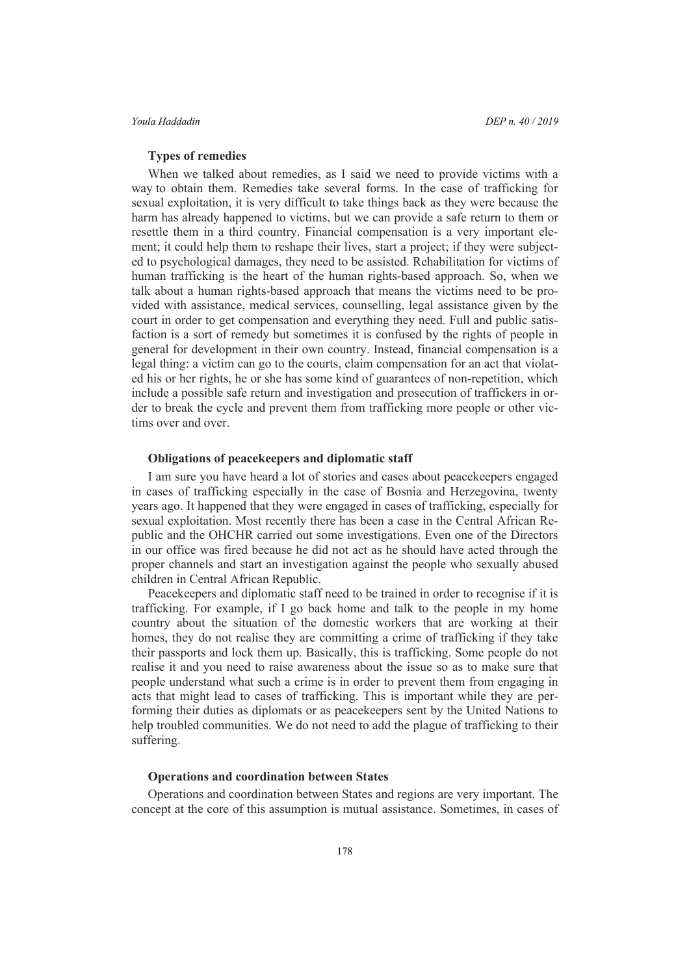### **Types of remedies**

When we talked about remedies, as I said we need to provide victims with a way to obtain them. Remedies take several forms. In the case of trafficking for sexual exploitation, it is very difficult to take things back as they were because the harm has already happened to victims, but we can provide a safe return to them or resettle them in a third country. Financial compensation is a very important element; it could help them to reshape their lives, start a project; if they were subjected to psychological damages, they need to be assisted. Rehabilitation for victims of human trafficking is the heart of the human rights-based approach. So, when we talk about a human rights-based approach that means the victims need to be provided with assistance, medical services, counselling, legal assistance given by the court in order to get compensation and everything they need. Full and public satisfaction is a sort of remedy but sometimes it is confused by the rights of people in general for development in their own country. Instead, financial compensation is a legal thing: a victim can go to the courts, claim compensation for an act that violated his or her rights, he or she has some kind of guarantees of non-repetition, which include a possible safe return and investigation and prosecution of traffickers in order to break the cycle and prevent them from trafficking more people or other victims over and over.

# **Obligations of peacekeepers and diplomatic staff**

I am sure you have heard a lot of stories and cases about peacekeepers engaged in cases of trafficking especially in the case of Bosnia and Herzegovina, twenty years ago. It happened that they were engaged in cases of trafficking, especially for sexual exploitation. Most recently there has been a case in the Central African Republic and the OHCHR carried out some investigations. Even one of the Directors in our office was fired because he did not act as he should have acted through the proper channels and start an investigation against the people who sexually abused children in Central African Republic.

Peacekeepers and diplomatic staff need to be trained in order to recognise if it is trafficking. For example, if I go back home and talk to the people in my home country about the situation of the domestic workers that are working at their homes, they do not realise they are committing a crime of trafficking if they take their passports and lock them up. Basically, this is trafficking. Some people do not realise it and you need to raise awareness about the issue so as to make sure that people understand what such a crime is in order to prevent them from engaging in acts that might lead to cases of trafficking. This is important while they are performing their duties as diplomats or as peacekeepers sent by the United Nations to help troubled communities. We do not need to add the plague of trafficking to their suffering.

# **Operations and coordination between States**

Operations and coordination between States and regions are very important. The concept at the core of this assumption is mutual assistance. Sometimes, in cases of